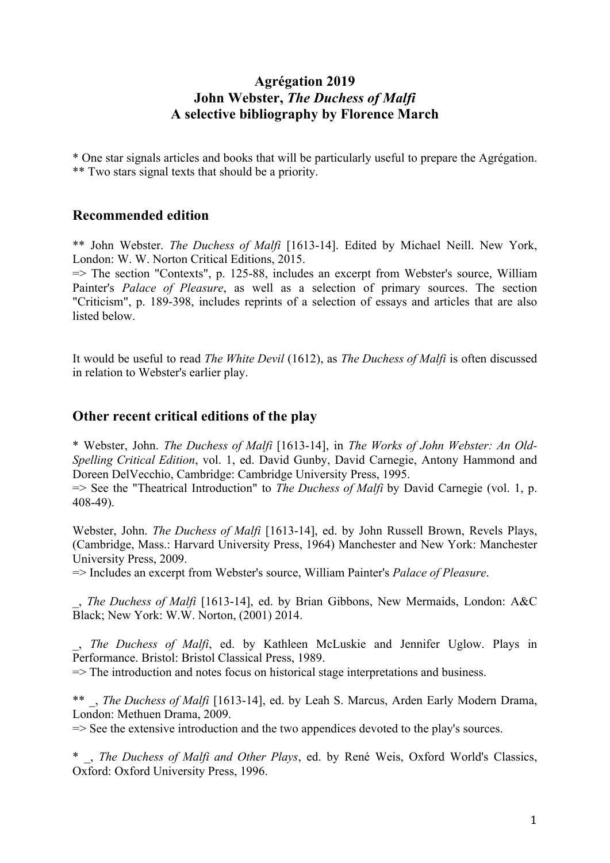# **Agrégation 2019 John Webster,** *The Duchess of Malfi* **A selective bibliography by Florence March**

\* One star signals articles and books that will be particularly useful to prepare the Agrégation. \*\* Two stars signal texts that should be a priority.

### **Recommended edition**

\*\* John Webster. *The Duchess of Malfi* [1613-14]. Edited by Michael Neill. New York, London: W. W. Norton Critical Editions, 2015.

=> The section "Contexts", p. 125-88, includes an excerpt from Webster's source, William Painter's *Palace of Pleasure*, as well as a selection of primary sources. The section "Criticism", p. 189-398, includes reprints of a selection of essays and articles that are also listed below.

It would be useful to read *The White Devil* (1612), as *The Duchess of Malfi* is often discussed in relation to Webster's earlier play.

### **Other recent critical editions of the play**

\* Webster, John. *The Duchess of Malfi* [1613-14], in *The Works of John Webster: An Old-Spelling Critical Edition*, vol. 1, ed. David Gunby, David Carnegie, Antony Hammond and Doreen DelVecchio, Cambridge: Cambridge University Press, 1995.

=> See the "Theatrical Introduction" to *The Duchess of Malfi* by David Carnegie (vol. 1, p. 408-49).

Webster, John. *The Duchess of Malfi* [1613-14], ed. by John Russell Brown, Revels Plays, (Cambridge, Mass.: Harvard University Press, 1964) Manchester and New York: Manchester University Press, 2009.

=> Includes an excerpt from Webster's source, William Painter's *Palace of Pleasure*.

\_, *The Duchess of Malfi* [1613-14], ed. by Brian Gibbons, New Mermaids, London: A&C Black; New York: W.W. Norton, (2001) 2014.

\_, *The Duchess of Malfi*, ed. by Kathleen McLuskie and Jennifer Uglow. Plays in Performance. Bristol: Bristol Classical Press, 1989.

 $\Rightarrow$  The introduction and notes focus on historical stage interpretations and business.

\*\* \_, *The Duchess of Malfi* [1613-14], ed. by Leah S. Marcus, Arden Early Modern Drama, London: Methuen Drama, 2009.

=> See the extensive introduction and the two appendices devoted to the play's sources.

\* \_, *The Duchess of Malfi and Other Plays*, ed. by René Weis, Oxford World's Classics, Oxford: Oxford University Press, 1996.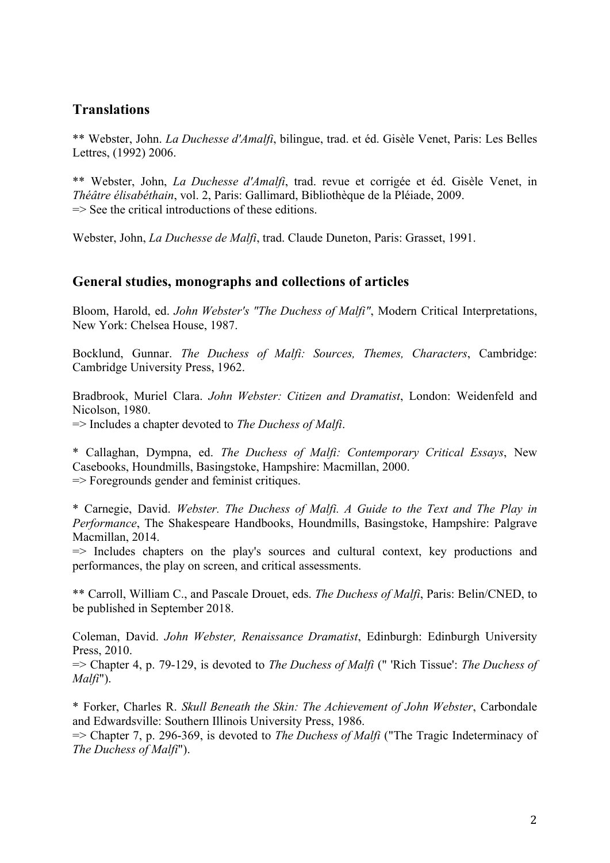# **Translations**

\*\* Webster, John. *La Duchesse d'Amalfi*, bilingue, trad. et éd. Gisèle Venet, Paris: Les Belles Lettres, (1992) 2006.

\*\* Webster, John, *La Duchesse d'Amalfi*, trad. revue et corrigée et éd. Gisèle Venet, in *Théâtre élisabéthain*, vol. 2, Paris: Gallimard, Bibliothèque de la Pléiade, 2009.  $\Rightarrow$  See the critical introductions of these editions.

Webster, John, *La Duchesse de Malfi*, trad. Claude Duneton, Paris: Grasset, 1991.

#### **General studies, monographs and collections of articles**

Bloom, Harold, ed. *John Webster's "The Duchess of Malfi"*, Modern Critical Interpretations, New York: Chelsea House, 1987.

Bocklund, Gunnar. *The Duchess of Malfi: Sources, Themes, Characters*, Cambridge: Cambridge University Press, 1962.

Bradbrook, Muriel Clara. *John Webster: Citizen and Dramatist*, London: Weidenfeld and Nicolson, 1980. => Includes a chapter devoted to *The Duchess of Malfi*.

\* Callaghan, Dympna, ed. *The Duchess of Malfi: Contemporary Critical Essays*, New Casebooks, Houndmills, Basingstoke, Hampshire: Macmillan, 2000. => Foregrounds gender and feminist critiques.

\* Carnegie, David. *Webster. The Duchess of Malfi. A Guide to the Text and The Play in Performance*, The Shakespeare Handbooks, Houndmills, Basingstoke, Hampshire: Palgrave Macmillan, 2014.

 $\Rightarrow$  Includes chapters on the play's sources and cultural context, key productions and performances, the play on screen, and critical assessments.

\*\* Carroll, William C., and Pascale Drouet, eds. *The Duchess of Malfi*, Paris: Belin/CNED, to be published in September 2018.

Coleman, David. *John Webster, Renaissance Dramatist*, Edinburgh: Edinburgh University Press, 2010.

=> Chapter 4, p. 79-129, is devoted to *The Duchess of Malfi* (" 'Rich Tissue': *The Duchess of Malfi*").

\* Forker, Charles R. *Skull Beneath the Skin: The Achievement of John Webster*, Carbondale and Edwardsville: Southern Illinois University Press, 1986.

=> Chapter 7, p. 296-369, is devoted to *The Duchess of Malfi* ("The Tragic Indeterminacy of *The Duchess of Malfi*").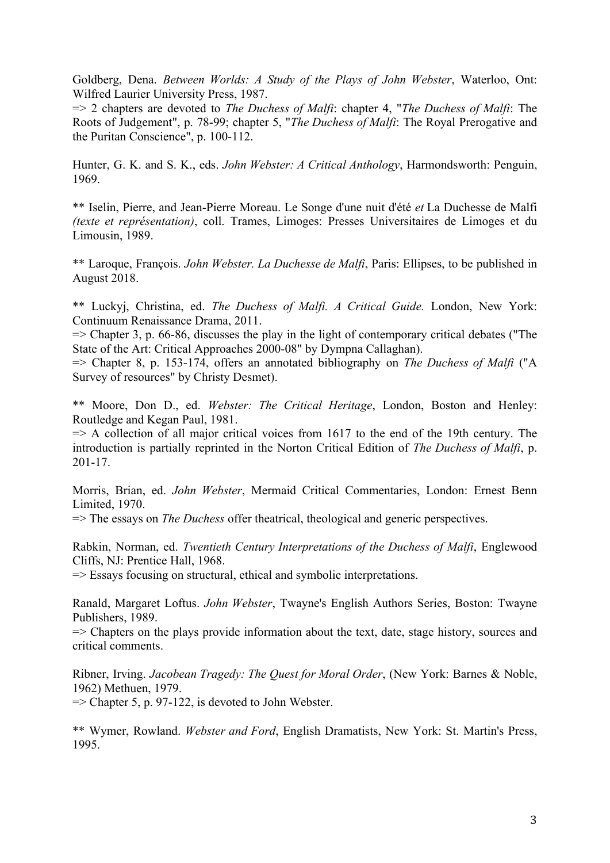Goldberg, Dena. *Between Worlds: A Study of the Plays of John Webster*, Waterloo, Ont: Wilfred Laurier University Press, 1987.

=> 2 chapters are devoted to *The Duchess of Malfi*: chapter 4, "*The Duchess of Malfi*: The Roots of Judgement", p. 78-99; chapter 5, "*The Duchess of Malfi*: The Royal Prerogative and the Puritan Conscience", p. 100-112.

Hunter, G. K. and S. K., eds. *John Webster: A Critical Anthology*, Harmondsworth: Penguin, 1969.

\*\* Iselin, Pierre, and Jean-Pierre Moreau. Le Songe d'une nuit d'été *et* La Duchesse de Malfi *(texte et représentation)*, coll. Trames, Limoges: Presses Universitaires de Limoges et du Limousin, 1989.

\*\* Laroque, François. *John Webster. La Duchesse de Malfi*, Paris: Ellipses, to be published in August 2018.

\*\* Luckyj, Christina, ed. *The Duchess of Malfi. A Critical Guide.* London, New York: Continuum Renaissance Drama, 2011.

 $\Rightarrow$  Chapter 3, p. 66-86, discusses the play in the light of contemporary critical debates ("The State of the Art: Critical Approaches 2000-08" by Dympna Callaghan).

=> Chapter 8, p. 153-174, offers an annotated bibliography on *The Duchess of Malfi* ("A Survey of resources" by Christy Desmet).

\*\* Moore, Don D., ed. *Webster: The Critical Heritage*, London, Boston and Henley: Routledge and Kegan Paul, 1981.

 $\Rightarrow$  A collection of all major critical voices from 1617 to the end of the 19th century. The introduction is partially reprinted in the Norton Critical Edition of *The Duchess of Malfi*, p. 201-17.

Morris, Brian, ed. *John Webster*, Mermaid Critical Commentaries, London: Ernest Benn Limited, 1970.

=> The essays on *The Duchess* offer theatrical, theological and generic perspectives.

Rabkin, Norman, ed. *Twentieth Century Interpretations of the Duchess of Malfi*, Englewood Cliffs, NJ: Prentice Hall, 1968.

=> Essays focusing on structural, ethical and symbolic interpretations.

Ranald, Margaret Loftus. *John Webster*, Twayne's English Authors Series, Boston: Twayne Publishers, 1989.

 $\Rightarrow$  Chapters on the plays provide information about the text, date, stage history, sources and critical comments.

Ribner, Irving. *Jacobean Tragedy: The Quest for Moral Order*, (New York: Barnes & Noble, 1962) Methuen, 1979.

 $\Rightarrow$  Chapter 5, p. 97-122, is devoted to John Webster.

\*\* Wymer, Rowland. *Webster and Ford*, English Dramatists, New York: St. Martin's Press, 1995.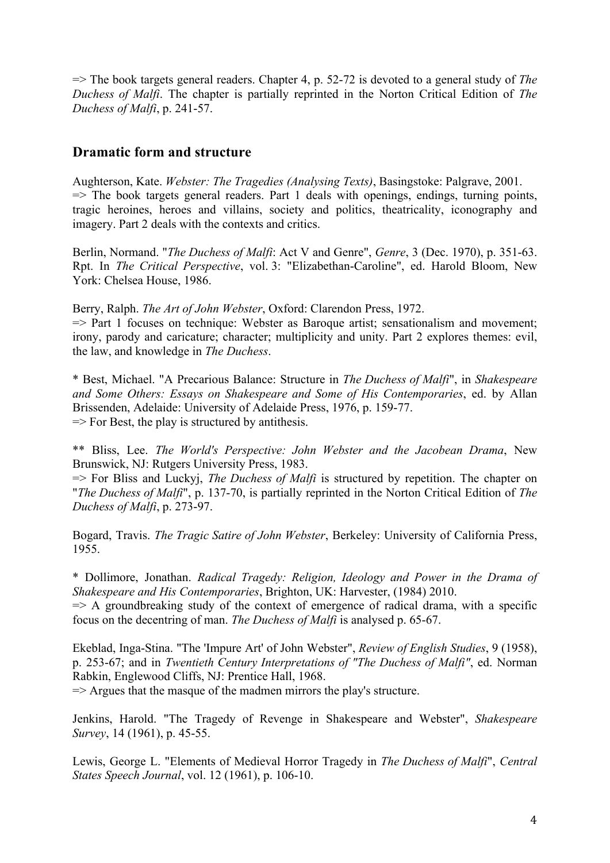=> The book targets general readers. Chapter 4, p. 52-72 is devoted to a general study of *The Duchess of Malfi*. The chapter is partially reprinted in the Norton Critical Edition of *The Duchess of Malfi*, p. 241-57.

# **Dramatic form and structure**

Aughterson, Kate. *Webster: The Tragedies (Analysing Texts)*, Basingstoke: Palgrave, 2001.  $\Rightarrow$  The book targets general readers. Part 1 deals with openings, endings, turning points, tragic heroines, heroes and villains, society and politics, theatricality, iconography and imagery. Part 2 deals with the contexts and critics.

Berlin, Normand. "*The Duchess of Malfi*: Act V and Genre", *Genre*, 3 (Dec. 1970), p. 351-63. Rpt. In *The Critical Perspective*, vol. 3: "Elizabethan-Caroline", ed. Harold Bloom, New York: Chelsea House, 1986.

Berry, Ralph. *The Art of John Webster*, Oxford: Clarendon Press, 1972.

 $\Rightarrow$  Part 1 focuses on technique: Webster as Baroque artist; sensationalism and movement; irony, parody and caricature; character; multiplicity and unity. Part 2 explores themes: evil, the law, and knowledge in *The Duchess*.

\* Best, Michael. "A Precarious Balance: Structure in *The Duchess of Malfi*", in *Shakespeare and Some Others: Essays on Shakespeare and Some of His Contemporaries*, ed. by Allan Brissenden, Adelaide: University of Adelaide Press, 1976, p. 159-77.  $\Rightarrow$  For Best, the play is structured by antithesis.

\*\* Bliss, Lee. *The World's Perspective: John Webster and the Jacobean Drama*, New Brunswick, NJ: Rutgers University Press, 1983.

=> For Bliss and Luckyj, *The Duchess of Malfi* is structured by repetition. The chapter on "*The Duchess of Malfi*", p. 137-70, is partially reprinted in the Norton Critical Edition of *The Duchess of Malfi*, p. 273-97.

Bogard, Travis. *The Tragic Satire of John Webster*, Berkeley: University of California Press, 1955.

\* Dollimore, Jonathan. *Radical Tragedy: Religion, Ideology and Power in the Drama of Shakespeare and His Contemporaries*, Brighton, UK: Harvester, (1984) 2010.

 $\Rightarrow$  A groundbreaking study of the context of emergence of radical drama, with a specific focus on the decentring of man. *The Duchess of Malfi* is analysed p. 65-67.

Ekeblad, Inga-Stina. "The 'Impure Art' of John Webster", *Review of English Studies*, 9 (1958), p. 253-67; and in *Twentieth Century Interpretations of "The Duchess of Malfi"*, ed. Norman Rabkin, Englewood Cliffs, NJ: Prentice Hall, 1968.

 $\Rightarrow$  Argues that the masque of the madmen mirrors the play's structure.

Jenkins, Harold. "The Tragedy of Revenge in Shakespeare and Webster", *Shakespeare Survey*, 14 (1961), p. 45-55.

Lewis, George L. "Elements of Medieval Horror Tragedy in *The Duchess of Malfi*", *Central States Speech Journal*, vol. 12 (1961), p. 106-10.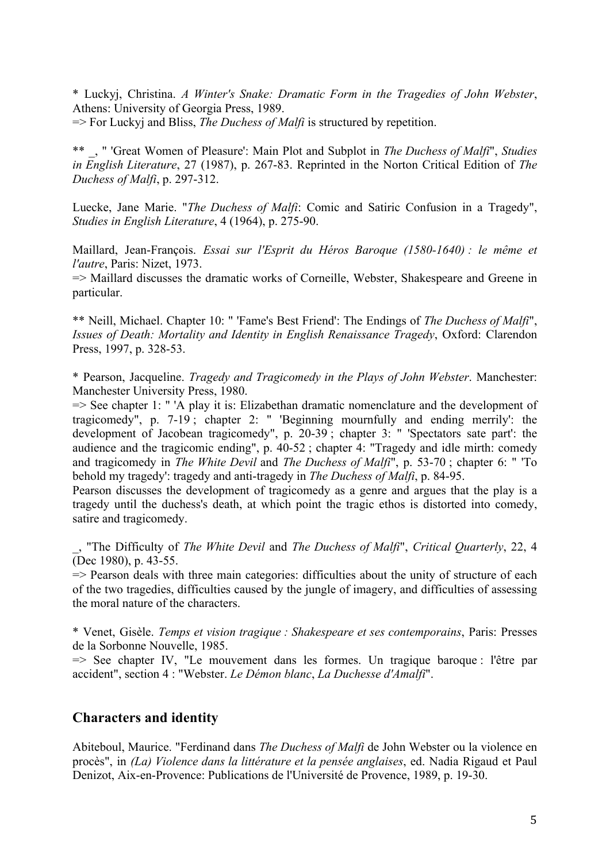\* Luckyj, Christina. *A Winter's Snake: Dramatic Form in the Tragedies of John Webster*, Athens: University of Georgia Press, 1989.

=> For Luckyj and Bliss, *The Duchess of Malfi* is structured by repetition.

\*\* \_, " 'Great Women of Pleasure': Main Plot and Subplot in *The Duchess of Malfi*", *Studies in English Literature*, 27 (1987), p. 267-83. Reprinted in the Norton Critical Edition of *The Duchess of Malfi*, p. 297-312.

Luecke, Jane Marie. "*The Duchess of Malfi*: Comic and Satiric Confusion in a Tragedy", *Studies in English Literature*, 4 (1964), p. 275-90.

Maillard, Jean-François. *Essai sur l'Esprit du Héros Baroque (1580-1640) : le même et l'autre*, Paris: Nizet, 1973.

=> Maillard discusses the dramatic works of Corneille, Webster, Shakespeare and Greene in particular.

\*\* Neill, Michael. Chapter 10: " 'Fame's Best Friend': The Endings of *The Duchess of Malfi*", *Issues of Death: Mortality and Identity in English Renaissance Tragedy*, Oxford: Clarendon Press, 1997, p. 328-53.

\* Pearson, Jacqueline. *Tragedy and Tragicomedy in the Plays of John Webster*. Manchester: Manchester University Press, 1980.

 $\Rightarrow$  See chapter 1: " 'A play it is: Elizabethan dramatic nomenclature and the development of tragicomedy", p. 7-19 ; chapter 2: " 'Beginning mournfully and ending merrily': the development of Jacobean tragicomedy", p. 20-39 ; chapter 3: " 'Spectators sate part': the audience and the tragicomic ending", p. 40-52 ; chapter 4: "Tragedy and idle mirth: comedy and tragicomedy in *The White Devil* and *The Duchess of Malfi*", p. 53-70 ; chapter 6: " 'To behold my tragedy': tragedy and anti-tragedy in *The Duchess of Malfi*, p. 84-95.

Pearson discusses the development of tragicomedy as a genre and argues that the play is a tragedy until the duchess's death, at which point the tragic ethos is distorted into comedy, satire and tragicomedy.

\_, "The Difficulty of *The White Devil* and *The Duchess of Malfi*", *Critical Quarterly*, 22, 4 (Dec 1980), p. 43-55.

 $\Rightarrow$  Pearson deals with three main categories: difficulties about the unity of structure of each of the two tragedies, difficulties caused by the jungle of imagery, and difficulties of assessing the moral nature of the characters.

\* Venet, Gisèle. *Temps et vision tragique : Shakespeare et ses contemporains*, Paris: Presses de la Sorbonne Nouvelle, 1985.

 $\Rightarrow$  See chapter IV, "Le mouvement dans les formes. Un tragique baroque : l'être par accident", section 4 : "Webster. *Le Démon blanc*, *La Duchesse d'Amalfi*".

#### **Characters and identity**

Abiteboul, Maurice. "Ferdinand dans *The Duchess of Malfi* de John Webster ou la violence en procès", in *(La) Violence dans la littérature et la pensée anglaises*, ed. Nadia Rigaud et Paul Denizot, Aix-en-Provence: Publications de l'Université de Provence, 1989, p. 19-30.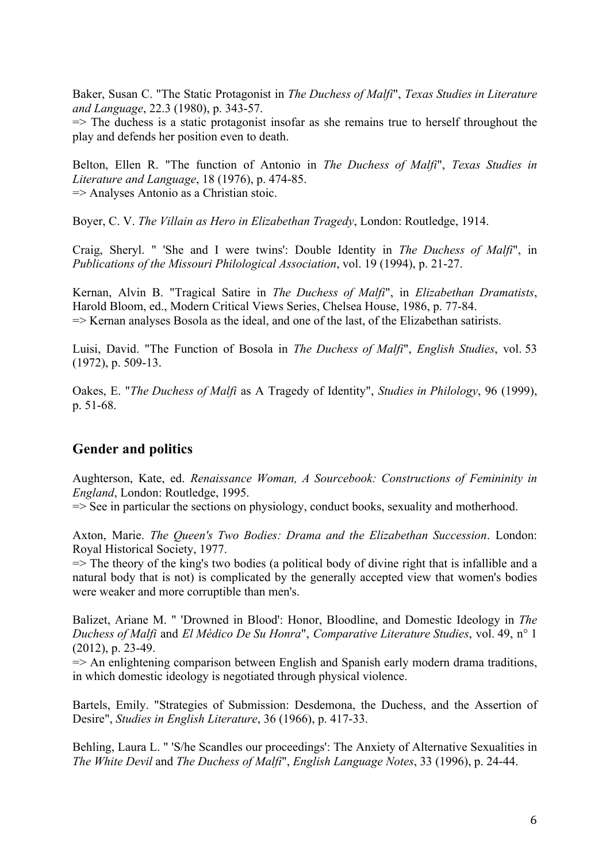Baker, Susan C. "The Static Protagonist in *The Duchess of Malfi*", *Texas Studies in Literature and Language*, 22.3 (1980), p. 343-57.

 $\Rightarrow$  The duchess is a static protagonist insofar as she remains true to herself throughout the play and defends her position even to death.

Belton, Ellen R. "The function of Antonio in *The Duchess of Malfi*", *Texas Studies in Literature and Language*, 18 (1976), p. 474-85. => Analyses Antonio as a Christian stoic.

Boyer, C. V. *The Villain as Hero in Elizabethan Tragedy*, London: Routledge, 1914.

Craig, Sheryl. " 'She and I were twins': Double Identity in *The Duchess of Malfi*", in *Publications of the Missouri Philological Association*, vol. 19 (1994), p. 21-27.

Kernan, Alvin B. "Tragical Satire in *The Duchess of Malfi*", in *Elizabethan Dramatists*, Harold Bloom, ed., Modern Critical Views Series, Chelsea House, 1986, p. 77-84.  $\Rightarrow$  Kernan analyses Bosola as the ideal, and one of the last, of the Elizabethan satirists.

Luisi, David. "The Function of Bosola in *The Duchess of Malfi*", *English Studies*, vol. 53 (1972), p. 509-13.

Oakes, E. "*The Duchess of Malfi* as A Tragedy of Identity", *Studies in Philology*, 96 (1999), p. 51-68.

# **Gender and politics**

Aughterson, Kate, ed. *Renaissance Woman, A Sourcebook: Constructions of Femininity in England*, London: Routledge, 1995.

=> See in particular the sections on physiology, conduct books, sexuality and motherhood.

Axton, Marie. *The Queen's Two Bodies: Drama and the Elizabethan Succession*. London: Royal Historical Society, 1977.

 $\Rightarrow$  The theory of the king's two bodies (a political body of divine right that is infallible and a natural body that is not) is complicated by the generally accepted view that women's bodies were weaker and more corruptible than men's.

Balizet, Ariane M. " 'Drowned in Blood': Honor, Bloodline, and Domestic Ideology in *The Duchess of Malfi* and *El Médico De Su Honra*", *Comparative Literature Studies*, vol. 49, n° 1 (2012), p. 23-49.

 $\Rightarrow$  An enlightening comparison between English and Spanish early modern drama traditions, in which domestic ideology is negotiated through physical violence.

Bartels, Emily. "Strategies of Submission: Desdemona, the Duchess, and the Assertion of Desire", *Studies in English Literature*, 36 (1966), p. 417-33.

Behling, Laura L. " 'S/he Scandles our proceedings': The Anxiety of Alternative Sexualities in *The White Devil* and *The Duchess of Malfi*", *English Language Notes*, 33 (1996), p. 24-44.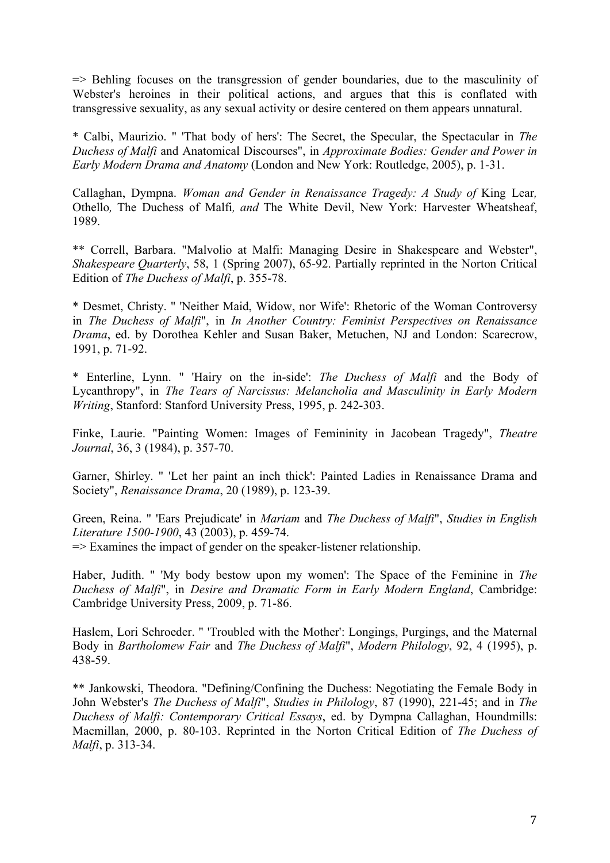$\Rightarrow$  Behling focuses on the transgression of gender boundaries, due to the masculinity of Webster's heroines in their political actions, and argues that this is conflated with transgressive sexuality, as any sexual activity or desire centered on them appears unnatural.

\* Calbi, Maurizio. " 'That body of hers': The Secret, the Specular, the Spectacular in *The Duchess of Malfi* and Anatomical Discourses", in *Approximate Bodies: Gender and Power in Early Modern Drama and Anatomy* (London and New York: Routledge, 2005), p. 1-31.

Callaghan, Dympna. *Woman and Gender in Renaissance Tragedy: A Study of* King Lear*,*  Othello*,* The Duchess of Malfi*, and* The White Devil, New York: Harvester Wheatsheaf, 1989.

\*\* Correll, Barbara. "Malvolio at Malfi: Managing Desire in Shakespeare and Webster", *Shakespeare Quarterly*, 58, 1 (Spring 2007), 65-92. Partially reprinted in the Norton Critical Edition of *The Duchess of Malfi*, p. 355-78.

\* Desmet, Christy. " 'Neither Maid, Widow, nor Wife': Rhetoric of the Woman Controversy in *The Duchess of Malfi*", in *In Another Country: Feminist Perspectives on Renaissance Drama*, ed. by Dorothea Kehler and Susan Baker, Metuchen, NJ and London: Scarecrow, 1991, p. 71-92.

\* Enterline, Lynn. " 'Hairy on the in-side': *The Duchess of Malfi* and the Body of Lycanthropy", in *The Tears of Narcissus: Melancholia and Masculinity in Early Modern Writing*, Stanford: Stanford University Press, 1995, p. 242-303.

Finke, Laurie. "Painting Women: Images of Femininity in Jacobean Tragedy", *Theatre Journal*, 36, 3 (1984), p. 357-70.

Garner, Shirley. " 'Let her paint an inch thick': Painted Ladies in Renaissance Drama and Society", *Renaissance Drama*, 20 (1989), p. 123-39.

Green, Reina. " 'Ears Prejudicate' in *Mariam* and *The Duchess of Malfi*", *Studies in English Literature 1500-1900*, 43 (2003), p. 459-74.  $\Rightarrow$  Examines the impact of gender on the speaker-listener relationship.

Haber, Judith. " 'My body bestow upon my women': The Space of the Feminine in *The Duchess of Malfi*", in *Desire and Dramatic Form in Early Modern England*, Cambridge: Cambridge University Press, 2009, p. 71-86.

Haslem, Lori Schroeder. " 'Troubled with the Mother': Longings, Purgings, and the Maternal Body in *Bartholomew Fair* and *The Duchess of Malfi*", *Modern Philology*, 92, 4 (1995), p. 438-59.

\*\* Jankowski, Theodora. "Defining/Confining the Duchess: Negotiating the Female Body in John Webster's *The Duchess of Malfi*", *Studies in Philology*, 87 (1990), 221-45; and in *The Duchess of Malfi: Contemporary Critical Essays*, ed. by Dympna Callaghan, Houndmills: Macmillan, 2000, p. 80-103. Reprinted in the Norton Critical Edition of *The Duchess of Malfi*, p. 313-34.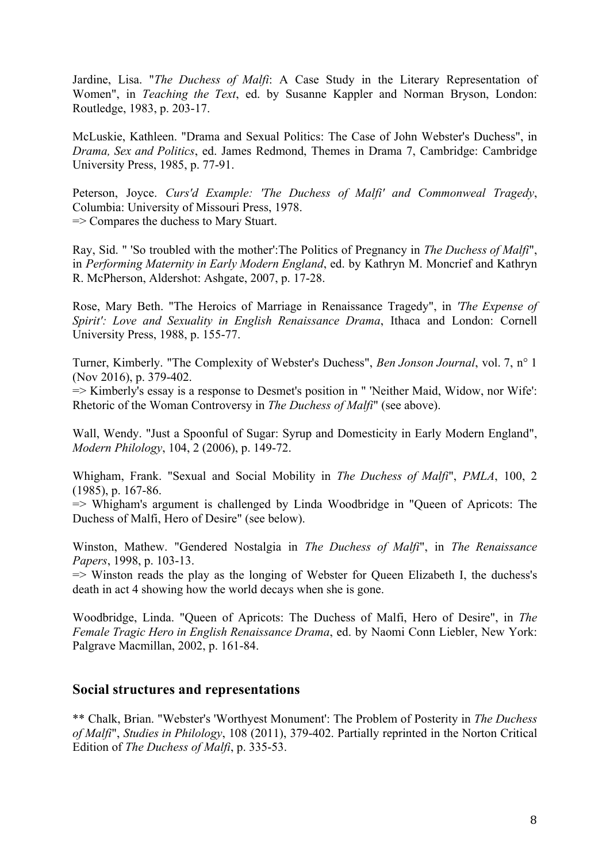Jardine, Lisa. "*The Duchess of Malfi*: A Case Study in the Literary Representation of Women", in *Teaching the Text*, ed. by Susanne Kappler and Norman Bryson, London: Routledge, 1983, p. 203-17.

McLuskie, Kathleen. "Drama and Sexual Politics: The Case of John Webster's Duchess", in *Drama, Sex and Politics*, ed. James Redmond, Themes in Drama 7, Cambridge: Cambridge University Press, 1985, p. 77-91.

Peterson, Joyce. *Curs'd Example: 'The Duchess of Malfi' and Commonweal Tragedy*, Columbia: University of Missouri Press, 1978. => Compares the duchess to Mary Stuart.

Ray, Sid. " 'So troubled with the mother':The Politics of Pregnancy in *The Duchess of Malfi*", in *Performing Maternity in Early Modern England*, ed. by Kathryn M. Moncrief and Kathryn R. McPherson, Aldershot: Ashgate, 2007, p. 17-28.

Rose, Mary Beth. "The Heroics of Marriage in Renaissance Tragedy", in *'The Expense of Spirit': Love and Sexuality in English Renaissance Drama*, Ithaca and London: Cornell University Press, 1988, p. 155-77.

Turner, Kimberly. "The Complexity of Webster's Duchess", *Ben Jonson Journal*, vol. 7, n° 1 (Nov 2016), p. 379-402.

=> Kimberly's essay is a response to Desmet's position in " 'Neither Maid, Widow, nor Wife': Rhetoric of the Woman Controversy in *The Duchess of Malfi*" (see above).

Wall, Wendy. "Just a Spoonful of Sugar: Syrup and Domesticity in Early Modern England", *Modern Philology*, 104, 2 (2006), p. 149-72.

Whigham, Frank. "Sexual and Social Mobility in *The Duchess of Malfi*", *PMLA*, 100, 2 (1985), p. 167-86.

=> Whigham's argument is challenged by Linda Woodbridge in "Queen of Apricots: The Duchess of Malfi, Hero of Desire" (see below).

Winston, Mathew. "Gendered Nostalgia in *The Duchess of Malfi*", in *The Renaissance Papers*, 1998, p. 103-13.

=> Winston reads the play as the longing of Webster for Queen Elizabeth I, the duchess's death in act 4 showing how the world decays when she is gone.

Woodbridge, Linda. "Queen of Apricots: The Duchess of Malfi, Hero of Desire", in *The Female Tragic Hero in English Renaissance Drama*, ed. by Naomi Conn Liebler, New York: Palgrave Macmillan, 2002, p. 161-84.

#### **Social structures and representations**

\*\* Chalk, Brian. "Webster's 'Worthyest Monument': The Problem of Posterity in *The Duchess of Malfi*", *Studies in Philology*, 108 (2011), 379-402. Partially reprinted in the Norton Critical Edition of *The Duchess of Malfi*, p. 335-53.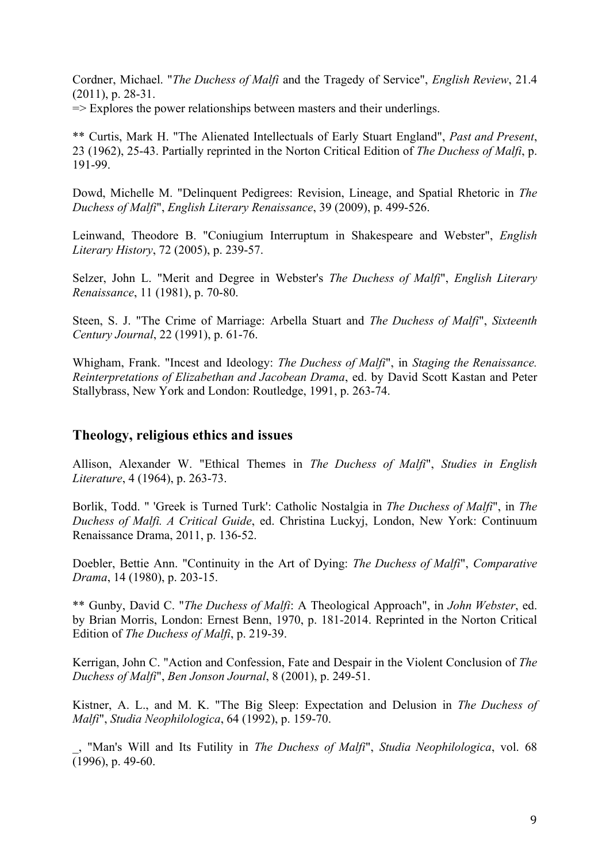Cordner, Michael. "*The Duchess of Malfi* and the Tragedy of Service", *English Review*, 21.4 (2011), p. 28-31.

 $\Rightarrow$  Explores the power relationships between masters and their underlings.

\*\* Curtis, Mark H. "The Alienated Intellectuals of Early Stuart England", *Past and Present*, 23 (1962), 25-43. Partially reprinted in the Norton Critical Edition of *The Duchess of Malfi*, p. 191-99.

Dowd, Michelle M. "Delinquent Pedigrees: Revision, Lineage, and Spatial Rhetoric in *The Duchess of Malfi*", *English Literary Renaissance*, 39 (2009), p. 499-526.

Leinwand, Theodore B. "Coniugium Interruptum in Shakespeare and Webster", *English Literary History*, 72 (2005), p. 239-57.

Selzer, John L. "Merit and Degree in Webster's *The Duchess of Malfi*", *English Literary Renaissance*, 11 (1981), p. 70-80.

Steen, S. J. "The Crime of Marriage: Arbella Stuart and *The Duchess of Malfi*", *Sixteenth Century Journal*, 22 (1991), p. 61-76.

Whigham, Frank. "Incest and Ideology: *The Duchess of Malfi*", in *Staging the Renaissance. Reinterpretations of Elizabethan and Jacobean Drama*, ed. by David Scott Kastan and Peter Stallybrass, New York and London: Routledge, 1991, p. 263-74.

### **Theology, religious ethics and issues**

Allison, Alexander W. "Ethical Themes in *The Duchess of Malfi*", *Studies in English Literature*, 4 (1964), p. 263-73.

Borlik, Todd. " 'Greek is Turned Turk': Catholic Nostalgia in *The Duchess of Malfi*", in *The Duchess of Malfi. A Critical Guide*, ed. Christina Luckyj, London, New York: Continuum Renaissance Drama, 2011, p. 136-52.

Doebler, Bettie Ann. "Continuity in the Art of Dying: *The Duchess of Malfi*", *Comparative Drama*, 14 (1980), p. 203-15.

\*\* Gunby, David C. "*The Duchess of Malfi*: A Theological Approach", in *John Webster*, ed. by Brian Morris, London: Ernest Benn, 1970, p. 181-2014. Reprinted in the Norton Critical Edition of *The Duchess of Malfi*, p. 219-39.

Kerrigan, John C. "Action and Confession, Fate and Despair in the Violent Conclusion of *The Duchess of Malfi*", *Ben Jonson Journal*, 8 (2001), p. 249-51.

Kistner, A. L., and M. K. "The Big Sleep: Expectation and Delusion in *The Duchess of Malfi*", *Studia Neophilologica*, 64 (1992), p. 159-70.

\_, "Man's Will and Its Futility in *The Duchess of Malfi*", *Studia Neophilologica*, vol. 68 (1996), p. 49-60.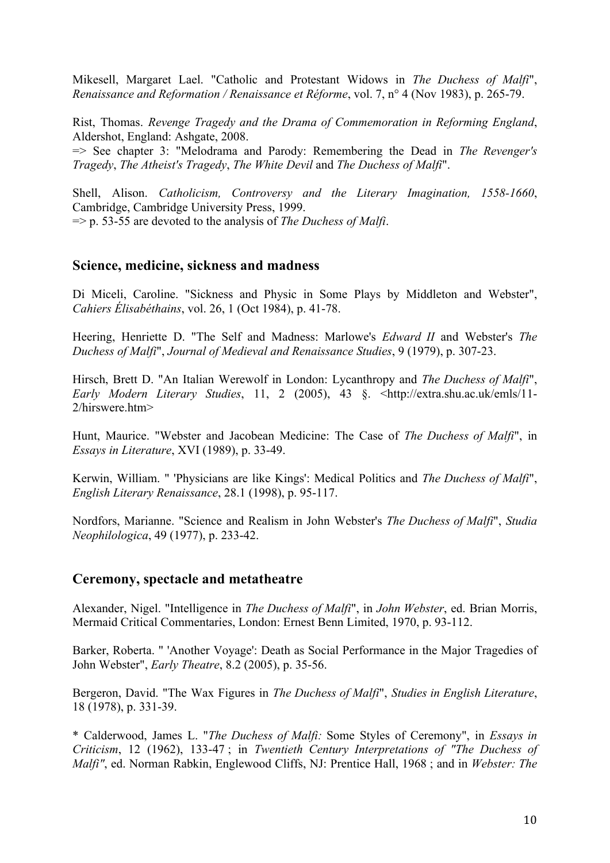Mikesell, Margaret Lael. "Catholic and Protestant Widows in *The Duchess of Malfi*", *Renaissance and Reformation / Renaissance et Réforme*, vol. 7, n° 4 (Nov 1983), p. 265-79.

Rist, Thomas. *Revenge Tragedy and the Drama of Commemoration in Reforming England*, Aldershot, England: Ashgate, 2008.

=> See chapter 3: "Melodrama and Parody: Remembering the Dead in *The Revenger's Tragedy*, *The Atheist's Tragedy*, *The White Devil* and *The Duchess of Malfi*".

Shell, Alison. *Catholicism, Controversy and the Literary Imagination, 1558-1660*, Cambridge, Cambridge University Press, 1999. => p. 53-55 are devoted to the analysis of *The Duchess of Malfi*.

#### **Science, medicine, sickness and madness**

Di Miceli, Caroline. "Sickness and Physic in Some Plays by Middleton and Webster", *Cahiers Élisabéthains*, vol. 26, 1 (Oct 1984), p. 41-78.

Heering, Henriette D. "The Self and Madness: Marlowe's *Edward II* and Webster's *The Duchess of Malfi*", *Journal of Medieval and Renaissance Studies*, 9 (1979), p. 307-23.

Hirsch, Brett D. "An Italian Werewolf in London: Lycanthropy and *The Duchess of Malfi*", *Early Modern Literary Studies*, 11, 2 (2005), 43 §. <http://extra.shu.ac.uk/emls/11- 2/hirswere.htm>

Hunt, Maurice. "Webster and Jacobean Medicine: The Case of *The Duchess of Malfi*", in *Essays in Literature*, XVI (1989), p. 33-49.

Kerwin, William. " 'Physicians are like Kings': Medical Politics and *The Duchess of Malfi*", *English Literary Renaissance*, 28.1 (1998), p. 95-117.

Nordfors, Marianne. "Science and Realism in John Webster's *The Duchess of Malfi*", *Studia Neophilologica*, 49 (1977), p. 233-42.

#### **Ceremony, spectacle and metatheatre**

Alexander, Nigel. "Intelligence in *The Duchess of Malfi*", in *John Webster*, ed. Brian Morris, Mermaid Critical Commentaries, London: Ernest Benn Limited, 1970, p. 93-112.

Barker, Roberta. " 'Another Voyage': Death as Social Performance in the Major Tragedies of John Webster", *Early Theatre*, 8.2 (2005), p. 35-56.

Bergeron, David. "The Wax Figures in *The Duchess of Malfi*", *Studies in English Literature*, 18 (1978), p. 331-39.

\* Calderwood, James L. "*The Duchess of Malfi:* Some Styles of Ceremony", in *Essays in Criticism*, 12 (1962), 133-47 ; in *Twentieth Century Interpretations of "The Duchess of Malfi"*, ed. Norman Rabkin, Englewood Cliffs, NJ: Prentice Hall, 1968 ; and in *Webster: The*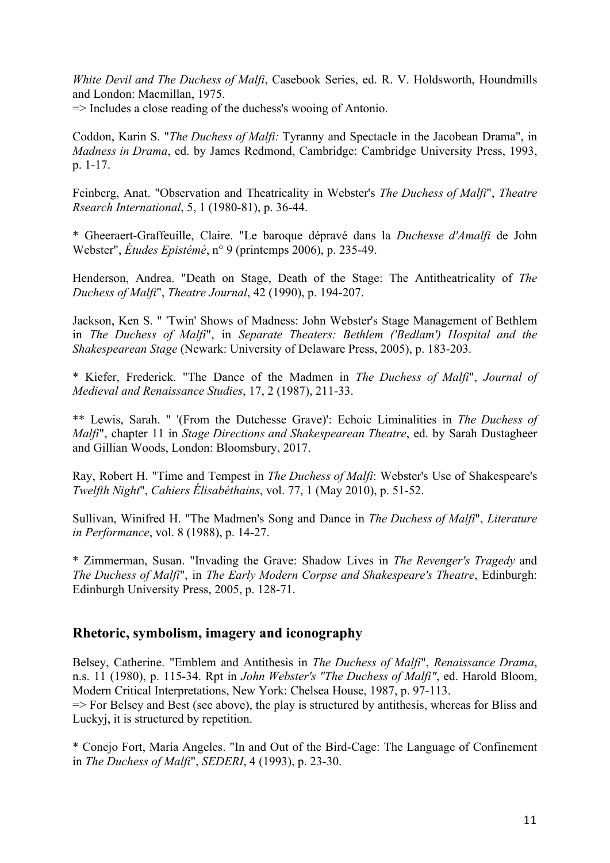*White Devil and The Duchess of Malfi*, Casebook Series, ed. R. V. Holdsworth, Houndmills and London: Macmillan, 1975.

 $\Rightarrow$  Includes a close reading of the duchess's wooing of Antonio.

Coddon, Karin S. "*The Duchess of Malfi:* Tyranny and Spectacle in the Jacobean Drama", in *Madness in Drama*, ed. by James Redmond, Cambridge: Cambridge University Press, 1993, p. 1-17.

Feinberg, Anat. "Observation and Theatricality in Webster's *The Duchess of Malfi*", *Theatre Rsearch International*, 5, 1 (1980-81), p. 36-44.

\* Gheeraert-Graffeuille, Claire. "Le baroque dépravé dans la *Duchesse d'Amalfi* de John Webster", *Études Epistémè*, n° 9 (printemps 2006), p. 235-49.

Henderson, Andrea. "Death on Stage, Death of the Stage: The Antitheatricality of *The Duchess of Malfi*", *Theatre Journal*, 42 (1990), p. 194-207.

Jackson, Ken S. " 'Twin' Shows of Madness: John Webster's Stage Management of Bethlem in *The Duchess of Malfi*", in *Separate Theaters: Bethlem ('Bedlam') Hospital and the Shakespearean Stage* (Newark: University of Delaware Press, 2005), p. 183-203.

\* Kiefer, Frederick. "The Dance of the Madmen in *The Duchess of Malfi*", *Journal of Medieval and Renaissance Studies*, 17, 2 (1987), 211-33.

\*\* Lewis, Sarah. " '(From the Dutchesse Grave)': Echoic Liminalities in *The Duchess of Malfi*", chapter 11 in *Stage Directions and Shakespearean Theatre*, ed. by Sarah Dustagheer and Gillian Woods, London: Bloomsbury, 2017.

Ray, Robert H. "Time and Tempest in *The Duchess of Malfi*: Webster's Use of Shakespeare's *Twelfth Night*", *Cahiers Élisabéthains*, vol. 77, 1 (May 2010), p. 51-52.

Sullivan, Winifred H. "The Madmen's Song and Dance in *The Duchess of Malfi*", *Literature in Performance*, vol. 8 (1988), p. 14-27.

\* Zimmerman, Susan. "Invading the Grave: Shadow Lives in *The Revenger's Tragedy* and *The Duchess of Malfi*", in *The Early Modern Corpse and Shakespeare's Theatre*, Edinburgh: Edinburgh University Press, 2005, p. 128-71.

# **Rhetoric, symbolism, imagery and iconography**

Belsey, Catherine. "Emblem and Antithesis in *The Duchess of Malfi*", *Renaissance Drama*, n.s. 11 (1980), p. 115-34. Rpt in *John Webster's "The Duchess of Malfi"*, ed. Harold Bloom, Modern Critical Interpretations, New York: Chelsea House, 1987, p. 97-113.

 $\Rightarrow$  For Belsey and Best (see above), the play is structured by antithesis, whereas for Bliss and Luckyj, it is structured by repetition.

\* Conejo Fort, María Angeles. "In and Out of the Bird-Cage: The Language of Confinement in *The Duchess of Malfi*", *SEDERI*, 4 (1993), p. 23-30.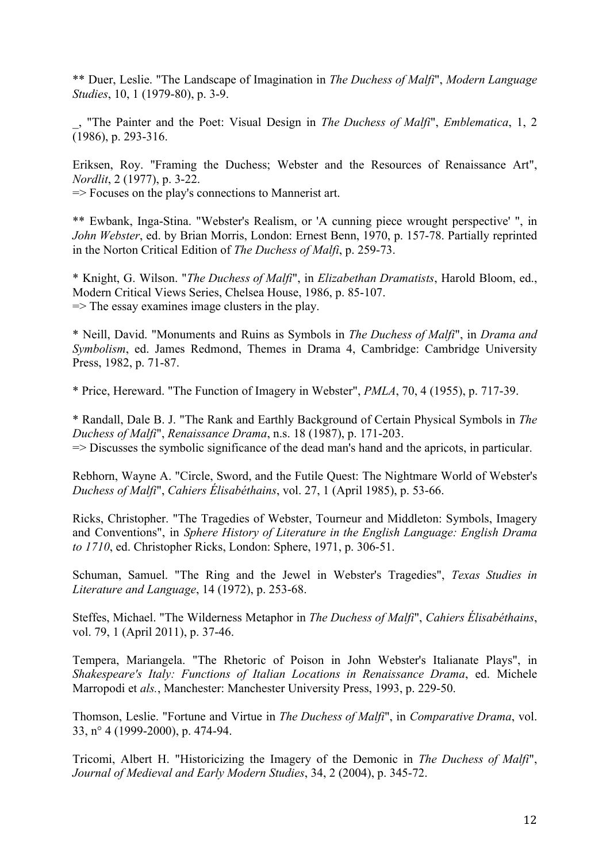\*\* Duer, Leslie. "The Landscape of Imagination in *The Duchess of Malfi*", *Modern Language Studies*, 10, 1 (1979-80), p. 3-9.

\_, "The Painter and the Poet: Visual Design in *The Duchess of Malfi*", *Emblematica*, 1, 2 (1986), p. 293-316.

Eriksen, Roy. "Framing the Duchess; Webster and the Resources of Renaissance Art", *Nordlit*, 2 (1977), p. 3-22.

=> Focuses on the play's connections to Mannerist art.

\*\* Ewbank, Inga-Stina. "Webster's Realism, or 'A cunning piece wrought perspective' ", in *John Webster*, ed. by Brian Morris, London: Ernest Benn, 1970, p. 157-78. Partially reprinted in the Norton Critical Edition of *The Duchess of Malfi*, p. 259-73.

\* Knight, G. Wilson. "*The Duchess of Malfi*", in *Elizabethan Dramatists*, Harold Bloom, ed., Modern Critical Views Series, Chelsea House, 1986, p. 85-107.  $\Rightarrow$  The essay examines image clusters in the play.

\* Neill, David. "Monuments and Ruins as Symbols in *The Duchess of Malfi*", in *Drama and Symbolism*, ed. James Redmond, Themes in Drama 4, Cambridge: Cambridge University Press, 1982, p. 71-87.

\* Price, Hereward. "The Function of Imagery in Webster", *PMLA*, 70, 4 (1955), p. 717-39.

\* Randall, Dale B. J. "The Rank and Earthly Background of Certain Physical Symbols in *The Duchess of Malfi*", *Renaissance Drama*, n.s. 18 (1987), p. 171-203. => Discusses the symbolic significance of the dead man's hand and the apricots, in particular.

Rebhorn, Wayne A. "Circle, Sword, and the Futile Quest: The Nightmare World of Webster's *Duchess of Malfi*", *Cahiers Élisabéthains*, vol. 27, 1 (April 1985), p. 53-66.

Ricks, Christopher. "The Tragedies of Webster, Tourneur and Middleton: Symbols, Imagery and Conventions", in *Sphere History of Literature in the English Language: English Drama to 1710*, ed. Christopher Ricks, London: Sphere, 1971, p. 306-51.

Schuman, Samuel. "The Ring and the Jewel in Webster's Tragedies", *Texas Studies in Literature and Language*, 14 (1972), p. 253-68.

Steffes, Michael. "The Wilderness Metaphor in *The Duchess of Malfi*", *Cahiers Élisabéthains*, vol. 79, 1 (April 2011), p. 37-46.

Tempera, Mariangela. "The Rhetoric of Poison in John Webster's Italianate Plays", in *Shakespeare's Italy: Functions of Italian Locations in Renaissance Drama*, ed. Michele Marropodi et *als.*, Manchester: Manchester University Press, 1993, p. 229-50.

Thomson, Leslie. "Fortune and Virtue in *The Duchess of Malfi*", in *Comparative Drama*, vol. 33, n° 4 (1999-2000), p. 474-94.

Tricomi, Albert H. "Historicizing the Imagery of the Demonic in *The Duchess of Malfi*", *Journal of Medieval and Early Modern Studies*, 34, 2 (2004), p. 345-72.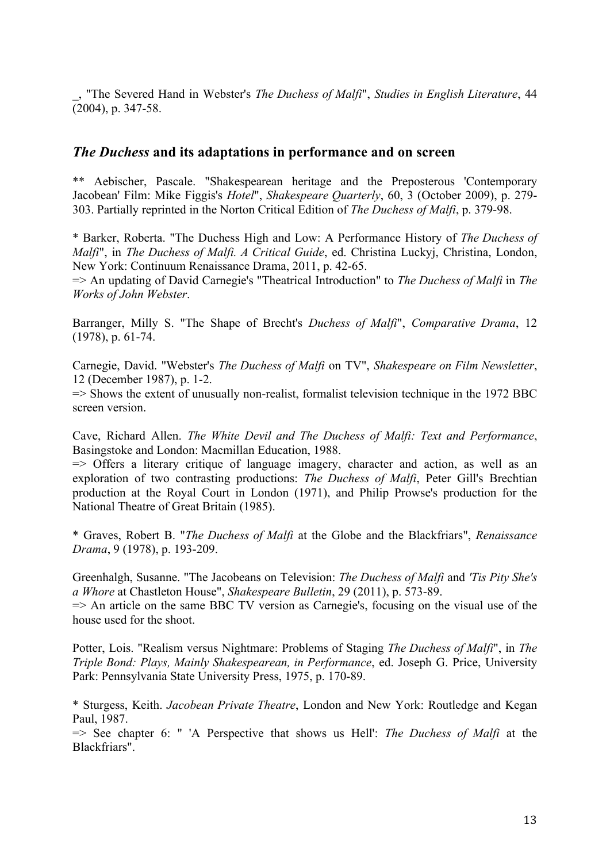\_, "The Severed Hand in Webster's *The Duchess of Malfi*", *Studies in English Literature*, 44  $(2004)$ , p. 347-58.

#### *The Duchess* **and its adaptations in performance and on screen**

\*\* Aebischer, Pascale. "Shakespearean heritage and the Preposterous 'Contemporary Jacobean' Film: Mike Figgis's *Hotel*", *Shakespeare Quarterly*, 60, 3 (October 2009), p. 279- 303. Partially reprinted in the Norton Critical Edition of *The Duchess of Malfi*, p. 379-98.

\* Barker, Roberta. "The Duchess High and Low: A Performance History of *The Duchess of Malfi*", in *The Duchess of Malfi. A Critical Guide*, ed. Christina Luckyj, Christina, London, New York: Continuum Renaissance Drama, 2011, p. 42-65.

=> An updating of David Carnegie's "Theatrical Introduction" to *The Duchess of Malfi* in *The Works of John Webster*.

Barranger, Milly S. "The Shape of Brecht's *Duchess of Malfi*", *Comparative Drama*, 12 (1978), p. 61-74.

Carnegie, David. "Webster's *The Duchess of Malfi* on TV", *Shakespeare on Film Newsletter*, 12 (December 1987), p. 1-2.

=> Shows the extent of unusually non-realist, formalist television technique in the 1972 BBC screen version.

Cave, Richard Allen. *The White Devil and The Duchess of Malfi: Text and Performance*, Basingstoke and London: Macmillan Education, 1988.

 $\Rightarrow$  Offers a literary critique of language imagery, character and action, as well as an exploration of two contrasting productions: *The Duchess of Malfi*, Peter Gill's Brechtian production at the Royal Court in London (1971), and Philip Prowse's production for the National Theatre of Great Britain (1985).

\* Graves, Robert B. "*The Duchess of Malfi* at the Globe and the Blackfriars", *Renaissance Drama*, 9 (1978), p. 193-209.

Greenhalgh, Susanne. "The Jacobeans on Television: *The Duchess of Malfi* and *'Tis Pity She's a Whore* at Chastleton House", *Shakespeare Bulletin*, 29 (2011), p. 573-89.  $\Rightarrow$  An article on the same BBC TV version as Carnegie's, focusing on the visual use of the

house used for the shoot.

Potter, Lois. "Realism versus Nightmare: Problems of Staging *The Duchess of Malfi*", in *The Triple Bond: Plays, Mainly Shakespearean, in Performance*, ed. Joseph G. Price, University Park: Pennsylvania State University Press, 1975, p. 170-89.

\* Sturgess, Keith. *Jacobean Private Theatre*, London and New York: Routledge and Kegan Paul, 1987.

=> See chapter 6: " 'A Perspective that shows us Hell': *The Duchess of Malfi* at the Blackfriars".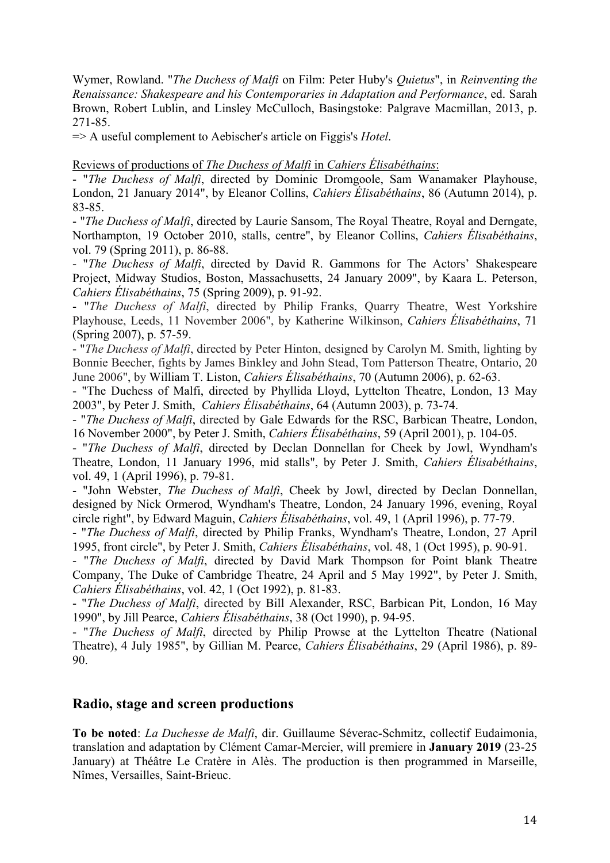Wymer, Rowland. "*The Duchess of Malfi* on Film: Peter Huby's *Quietus*", in *Reinventing the Renaissance: Shakespeare and his Contemporaries in Adaptation and Performance*, ed. Sarah Brown, Robert Lublin, and Linsley McCulloch, Basingstoke: Palgrave Macmillan, 2013, p. 271-85.

=> A useful complement to Aebischer's article on Figgis's *Hotel*.

Reviews of productions of *The Duchess of Malfi* in *Cahiers Élisabéthains*:

- "*The Duchess of Malfi*, directed by Dominic Dromgoole, Sam Wanamaker Playhouse, London, 21 January 2014", by Eleanor Collins, *Cahiers Élisabéthains*, 86 (Autumn 2014), p. 83-85.

- "*The Duchess of Malfi*, directed by Laurie Sansom, The Royal Theatre, Royal and Derngate, Northampton, 19 October 2010, stalls, centre", by Eleanor Collins, *Cahiers Élisabéthains*, vol. 79 (Spring 2011), p. 86-88.

- "*The Duchess of Malfi*, directed by David R. Gammons for The Actors' Shakespeare Project, Midway Studios, Boston, Massachusetts, 24 January 2009", by Kaara L. Peterson, *Cahiers Élisabéthains*, 75 (Spring 2009), p. 91-92.

- "*The Duchess of Malfi*, directed by Philip Franks, Quarry Theatre, West Yorkshire Playhouse, Leeds, 11 November 2006", by Katherine Wilkinson, *Cahiers Élisabéthains*, 71 (Spring 2007), p. 57-59.

- "*The Duchess of Malfi*, directed by Peter Hinton, designed by Carolyn M. Smith, lighting by Bonnie Beecher, fights by James Binkley and John Stead, Tom Patterson Theatre, Ontario, 20 June 2006", by William T. Liston, *Cahiers Élisabéthains*, 70 (Autumn 2006), p. 62-63.

- "The Duchess of Malfi, directed by Phyllida Lloyd, Lyttelton Theatre, London, 13 May 2003", by Peter J. Smith, *Cahiers Élisabéthains*, 64 (Autumn 2003), p. 73-74.

- "*The Duchess of Malfi*, directed by Gale Edwards for the RSC, Barbican Theatre, London, 16 November 2000", by Peter J. Smith, *Cahiers Élisabéthains*, 59 (April 2001), p. 104-05.

- "*The Duchess of Malfi*, directed by Declan Donnellan for Cheek by Jowl, Wyndham's Theatre, London, 11 January 1996, mid stalls", by Peter J. Smith, *Cahiers Élisabéthains*, vol. 49, 1 (April 1996), p. 79-81.

- "John Webster, *The Duchess of Malfi*, Cheek by Jowl, directed by Declan Donnellan, designed by Nick Ormerod, Wyndham's Theatre, London, 24 January 1996, evening, Royal circle right", by Edward Maguin, *Cahiers Élisabéthains*, vol. 49, 1 (April 1996), p. 77-79.

- "*The Duchess of Malfi*, directed by Philip Franks, Wyndham's Theatre, London, 27 April 1995, front circle", by Peter J. Smith, *Cahiers Élisabéthains*, vol. 48, 1 (Oct 1995), p. 90-91.

- "*The Duchess of Malfi*, directed by David Mark Thompson for Point blank Theatre Company, The Duke of Cambridge Theatre, 24 April and 5 May 1992", by Peter J. Smith, *Cahiers Élisabéthains*, vol. 42, 1 (Oct 1992), p. 81-83.

- "*The Duchess of Malfi*, directed by Bill Alexander, RSC, Barbican Pit, London, 16 May 1990", by Jill Pearce, *Cahiers Élisabéthains*, 38 (Oct 1990), p. 94-95.

- "*The Duchess of Malfi*, directed by Philip Prowse at the Lyttelton Theatre (National Theatre), 4 July 1985", by Gillian M. Pearce, *Cahiers Élisabéthains*, 29 (April 1986), p. 89- 90.

### **Radio, stage and screen productions**

**To be noted**: *La Duchesse de Malfi*, dir. Guillaume Séverac-Schmitz, collectif Eudaimonia, translation and adaptation by Clément Camar-Mercier, will premiere in **January 2019** (23-25 January) at Théâtre Le Cratère in Alès. The production is then programmed in Marseille, Nîmes, Versailles, Saint-Brieuc.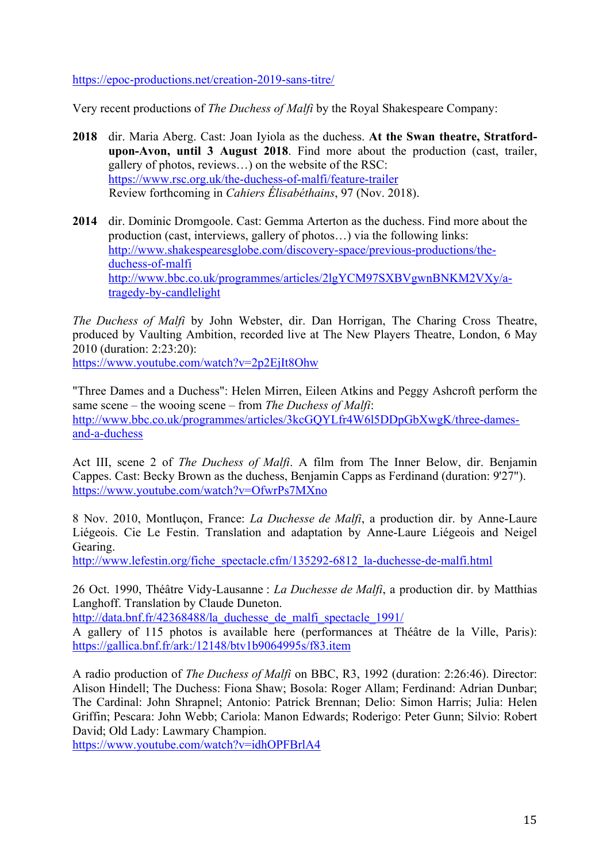https://epoc-productions.net/creation-2019-sans-titre/

Very recent productions of *The Duchess of Malfi* by the Royal Shakespeare Company:

- **2018** dir. Maria Aberg. Cast: Joan Iyiola as the duchess. **At the Swan theatre, Stratfordupon-Avon, until 3 August 2018**. Find more about the production (cast, trailer, gallery of photos, reviews…) on the website of the RSC: https://www.rsc.org.uk/the-duchess-of-malfi/feature-trailer Review forthcoming in *Cahiers Élisabéthains*, 97 (Nov. 2018).
- **2014** dir. Dominic Dromgoole. Cast: Gemma Arterton as the duchess. Find more about the production (cast, interviews, gallery of photos…) via the following links: http://www.shakespearesglobe.com/discovery-space/previous-productions/theduchess-of-malfi http://www.bbc.co.uk/programmes/articles/2lgYCM97SXBVgwnBNKM2VXy/atragedy-by-candlelight

*The Duchess of Malfi* by John Webster, dir. Dan Horrigan, The Charing Cross Theatre, produced by Vaulting Ambition, recorded live at The New Players Theatre, London, 6 May 2010 (duration: 2:23:20):

https://www.youtube.com/watch?v=2p2EjIt8Ohw

"Three Dames and a Duchess": Helen Mirren, Eileen Atkins and Peggy Ashcroft perform the same scene – the wooing scene – from *The Duchess of Malfi*: http://www.bbc.co.uk/programmes/articles/3kcGQYLfr4W6l5DDpGbXwgK/three-damesand-a-duchess

Act III, scene 2 of *The Duchess of Malfi*. A film from The Inner Below, dir. Benjamin Cappes. Cast: Becky Brown as the duchess, Benjamin Capps as Ferdinand (duration: 9'27"). https://www.youtube.com/watch?v=OfwrPs7MXno

8 Nov. 2010, Montluçon, France: *La Duchesse de Malfi*, a production dir. by Anne-Laure Liégeois. Cie Le Festin. Translation and adaptation by Anne-Laure Liégeois and Neigel Gearing.

http://www.lefestin.org/fiche\_spectacle.cfm/135292-6812\_la-duchesse-de-malfi.html

26 Oct. 1990, Théâtre Vidy-Lausanne : *La Duchesse de Malfi*, a production dir. by Matthias Langhoff. Translation by Claude Duneton.

http://data.bnf.fr/42368488/la\_duchesse\_de\_malfi\_spectacle\_1991/

A gallery of 115 photos is available here (performances at Théâtre de la Ville, Paris): https://gallica.bnf.fr/ark:/12148/btv1b9064995s/f83.item

A radio production of *The Duchess of Malfi* on BBC, R3, 1992 (duration: 2:26:46). Director: Alison Hindell; The Duchess: Fiona Shaw; Bosola: Roger Allam; Ferdinand: Adrian Dunbar; The Cardinal: John Shrapnel; Antonio: Patrick Brennan; Delio: Simon Harris; Julia: Helen Griffin; Pescara: John Webb; Cariola: Manon Edwards; Roderigo: Peter Gunn; Silvio: Robert David; Old Lady: Lawmary Champion.

https://www.youtube.com/watch?v=idhOPFBrlA4